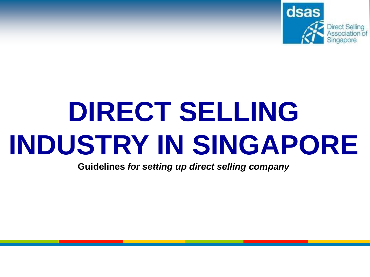

# **DIRECT SELLING INDUSTRY IN SINGAPORE**

**Guidelines** *for setting up direct selling company*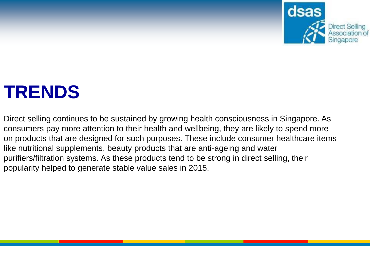

### **TRENDS**

Direct selling continues to be sustained by growing health consciousness in Singapore. As consumers pay more attention to their health and wellbeing, they are likely to spend more on products that are designed for such purposes. These include consumer healthcare items like nutritional supplements, beauty products that are anti-ageing and water purifiers/filtration systems. As these products tend to be strong in direct selling, their popularity helped to generate stable value sales in 2015.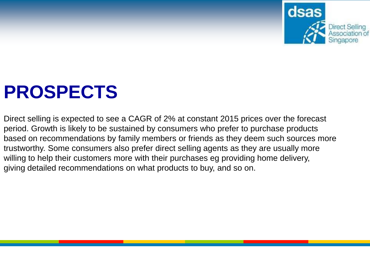

### **PROSPECTS**

Direct selling is expected to see a CAGR of 2% at constant 2015 prices over the forecast period. Growth is likely to be sustained by consumers who prefer to purchase products based on recommendations by family members or friends as they deem such sources more trustworthy. Some consumers also prefer direct selling agents as they are usually more willing to help their customers more with their purchases eg providing home delivery, giving detailed recommendations on what products to buy, and so on.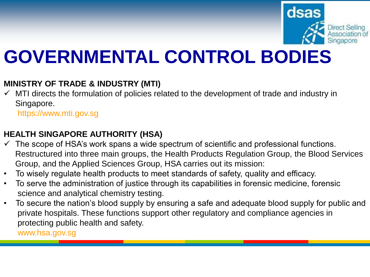

### **GOVERNMENTAL CONTROL BODIES**

#### **MINISTRY OF TRADE & INDUSTRY (MTI)**

✓ MTI directs the formulation of policies related to the development of trade and industry in Singapore.

https://www.mti.gov.sg

#### **HEALTH SINGAPORE AUTHORITY (HSA)**

- $\checkmark$  The scope of HSA's work spans a wide spectrum of scientific and professional functions. Restructured into three main groups, the Health Products Regulation Group, the Blood Services Group, and the Applied Sciences Group, HSA carries out its mission:
- To wisely regulate health products to meet standards of safety, quality and efficacy.
- To serve the administration of justice through its capabilities in forensic medicine, forensic science and analytical chemistry testing.
- To secure the nation's blood supply by ensuring a safe and adequate blood supply for public and private hospitals. These functions support other regulatory and compliance agencies in protecting public health and safety.

www.hsa.gov.sg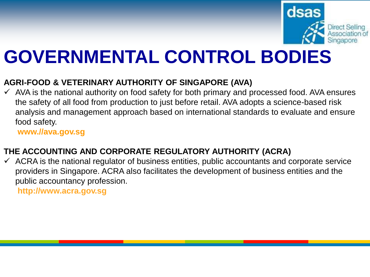

### **GOVERNMENTAL CONTROL BODIES**

#### **AGRI-FOOD & VETERINARY AUTHORITY OF SINGAPORE (AVA)**

 $\checkmark$  AVA is the national authority on food safety for both primary and processed food. AVA ensures the safety of all food from production to just before retail. AVA adopts a science-based risk analysis and management approach based on international standards to evaluate and ensure food safety.

**www.//ava.gov.sg**

#### **THE ACCOUNTING AND CORPORATE REGULATORY AUTHORITY (ACRA)**

 $\checkmark$  ACRA is the national regulator of business entities, public accountants and corporate service providers in Singapore. ACRA also facilitates the development of business entities and the public accountancy profession. **http://www.acra.gov.sg**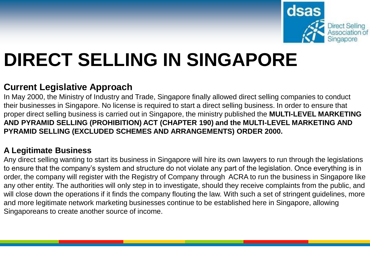

### **DIRECT SELLING IN SINGAPORE**

#### **Current Legislative Approach**

In May 2000, the Ministry of Industry and Trade, Singapore finally allowed direct selling companies to conduct their businesses in Singapore. No license is required to start a direct selling business. In order to ensure that proper direct selling business is carried out in Singapore, the ministry published the **MULTI-LEVEL MARKETING AND PYRAMID SELLING (PROHIBITION) ACT (CHAPTER 190) and the MULTI-LEVEL MARKETING AND PYRAMID SELLING (EXCLUDED SCHEMES AND ARRANGEMENTS) ORDER 2000.**

#### **A Legitimate Business**

Any direct selling wanting to start its business in Singapore will hire its own lawyers to run through the legislations to ensure that the company's system and structure do not violate any part of the legislation. Once everything is in order, the company will register with the Registry of Company through ACRA to run the business in Singapore like any other entity. The authorities will only step in to investigate, should they receive complaints from the public, and will close down the operations if it finds the company flouting the law. With such a set of stringent guidelines, more and more legitimate network marketing businesses continue to be established here in Singapore, allowing Singaporeans to create another source of income.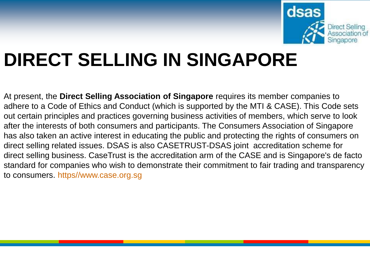

### **DIRECT SELLING IN SINGAPORE**

At present, the **Direct Selling Association of Singapore** requires its member companies to adhere to a Code of Ethics and Conduct (which is supported by the MTI & CASE). This Code sets out certain principles and practices governing business activities of members, which serve to look after the interests of both consumers and participants. The Consumers Association of Singapore has also taken an active interest in educating the public and protecting the rights of consumers on direct selling related issues. DSAS is also CASETRUST-DSAS joint accreditation scheme for direct selling business. CaseTrust is the accreditation arm of the CASE and is Singapore's de facto standard for companies who wish to demonstrate their commitment to fair trading and transparency to consumers. https//www.case.org.sg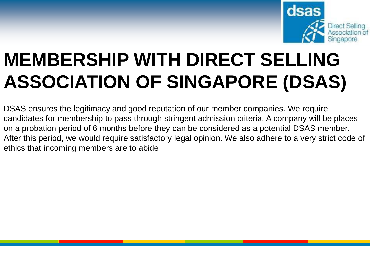

### **MEMBERSHIP WITH DIRECT SELLING ASSOCIATION OF SINGAPORE (DSAS)**

DSAS ensures the legitimacy and good reputation of our member companies. We require candidates for membership to pass through stringent admission criteria. A company will be places on a probation period of 6 months before they can be considered as a potential DSAS member. After this period, we would require satisfactory legal opinion. We also adhere to a very strict code of ethics that incoming members are to abide